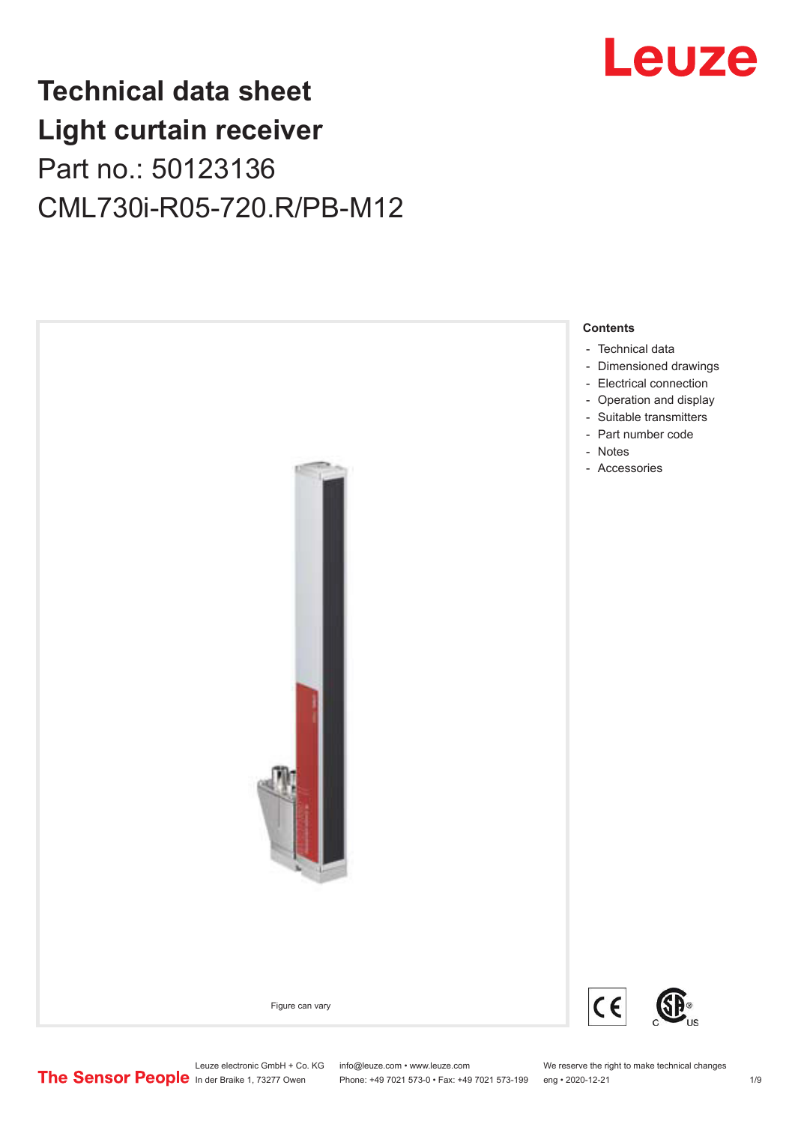## Leuze

## **Technical data sheet Light curtain receiver** Part no.: 50123136 CML730i-R05-720.R/PB-M12



Leuze electronic GmbH + Co. KG info@leuze.com • www.leuze.com We reserve the right to make technical changes<br>
The Sensor People in der Braike 1, 73277 Owen Phone: +49 7021 573-0 • Fax: +49 7021 573-199 eng • 2020-12-21

Phone: +49 7021 573-0 • Fax: +49 7021 573-199 eng • 2020-12-21 1 2020-12-21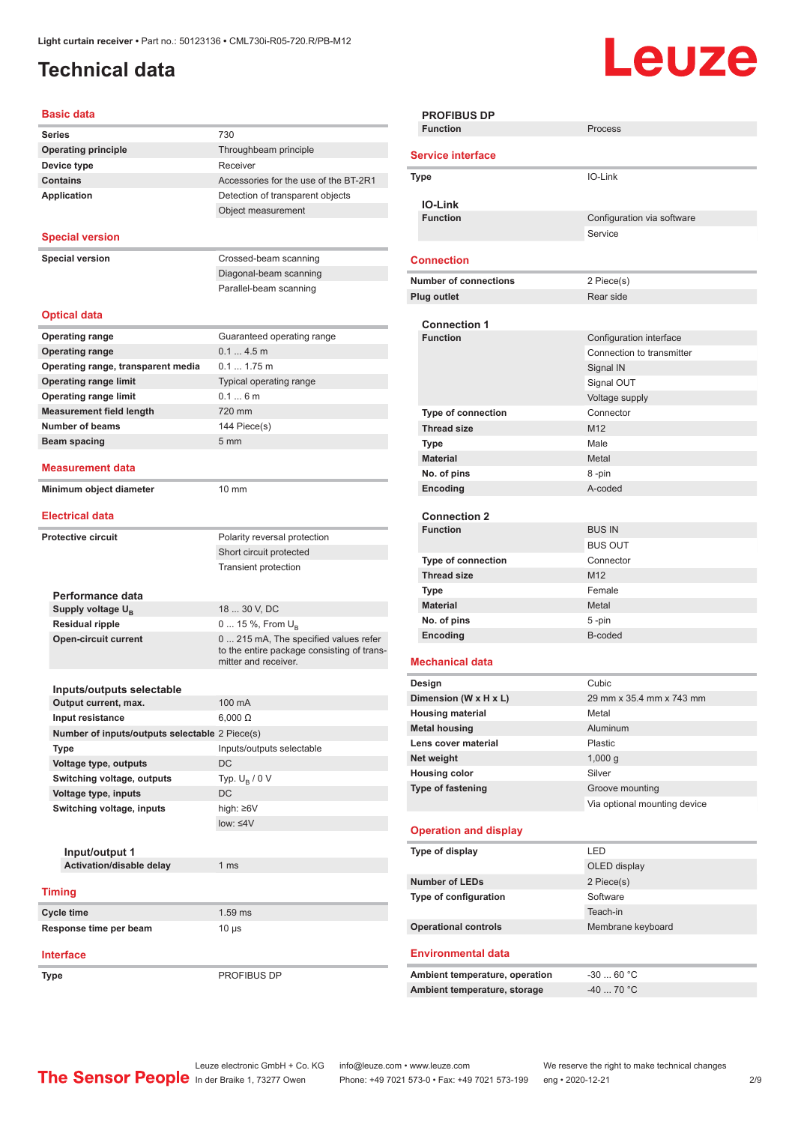## <span id="page-1-0"></span>**Technical data**

# **Leuze**

| <b>Basic data</b>                                                  |                                                                                                             |
|--------------------------------------------------------------------|-------------------------------------------------------------------------------------------------------------|
| <b>Series</b>                                                      | 730                                                                                                         |
| <b>Operating principle</b>                                         | Throughbeam principle                                                                                       |
| Device type                                                        | Receiver                                                                                                    |
| <b>Contains</b>                                                    | Accessories for the use of the BT-2R1                                                                       |
| <b>Application</b>                                                 | Detection of transparent objects                                                                            |
|                                                                    | Object measurement                                                                                          |
| <b>Special version</b>                                             |                                                                                                             |
|                                                                    |                                                                                                             |
| <b>Special version</b>                                             | Crossed-beam scanning                                                                                       |
|                                                                    | Diagonal-beam scanning                                                                                      |
|                                                                    | Parallel-beam scanning                                                                                      |
| <b>Optical data</b>                                                |                                                                                                             |
|                                                                    |                                                                                                             |
| <b>Operating range</b>                                             | Guaranteed operating range<br>0.14.5m                                                                       |
| <b>Operating range</b>                                             | $0.1$ 1.75 m                                                                                                |
| Operating range, transparent media<br><b>Operating range limit</b> |                                                                                                             |
| <b>Operating range limit</b>                                       | Typical operating range<br>0.16m                                                                            |
| <b>Measurement field length</b>                                    | 720 mm                                                                                                      |
| <b>Number of beams</b>                                             | 144 Piece(s)                                                                                                |
| Beam spacing                                                       | 5 <sub>mm</sub>                                                                                             |
|                                                                    |                                                                                                             |
| <b>Measurement data</b>                                            |                                                                                                             |
| Minimum object diameter                                            | 10 mm                                                                                                       |
| <b>Electrical data</b>                                             |                                                                                                             |
|                                                                    |                                                                                                             |
| <b>Protective circuit</b>                                          | Polarity reversal protection                                                                                |
|                                                                    | Short circuit protected<br><b>Transient protection</b>                                                      |
|                                                                    |                                                                                                             |
| Performance data                                                   |                                                                                                             |
| Supply voltage $U_{\rm B}$                                         | 18  30 V, DC                                                                                                |
| <b>Residual ripple</b>                                             | 0  15 %, From $U_{\rm B}$                                                                                   |
| <b>Open-circuit current</b>                                        | 0  215 mA, The specified values refer<br>to the entire package consisting of trans-<br>mitter and receiver. |
|                                                                    |                                                                                                             |
| Inputs/outputs selectable                                          |                                                                                                             |
| Output current, max.                                               | 100 mA                                                                                                      |
| Input resistance                                                   | $6,000 \Omega$                                                                                              |
| Number of inputs/outputs selectable 2 Piece(s)                     |                                                                                                             |
| Type                                                               | Inputs/outputs selectable                                                                                   |
| Voltage type, outputs                                              | DC                                                                                                          |
| Switching voltage, outputs                                         | Typ. $U_R / 0 V$                                                                                            |
| Voltage type, inputs                                               | DC                                                                                                          |
| Switching voltage, inputs                                          | high: ≥6V<br>low: $\leq 4V$                                                                                 |
|                                                                    |                                                                                                             |
| Input/output 1                                                     |                                                                                                             |
| Activation/disable delay                                           | 1 ms                                                                                                        |
|                                                                    |                                                                                                             |
| <b>Timing</b>                                                      |                                                                                                             |
| Cycle time                                                         | $1.59$ ms                                                                                                   |
| Response time per beam                                             | 10 µs                                                                                                       |
| <b>Interface</b>                                                   |                                                                                                             |
|                                                                    |                                                                                                             |

| I<br>and the | I<br>۰. | I<br>$\sim$ |
|--------------|---------|-------------|
|              |         |             |

**Type** PROFIBUS DP

| Process<br>IO-Link<br>Configuration via software<br>Service<br>2 Piece(s)<br>Rear side<br>Configuration interface<br>Connection to transmitter<br>Signal IN<br>Signal OUT<br>Voltage supply<br>Connector |
|----------------------------------------------------------------------------------------------------------------------------------------------------------------------------------------------------------|
|                                                                                                                                                                                                          |
|                                                                                                                                                                                                          |
|                                                                                                                                                                                                          |
|                                                                                                                                                                                                          |
|                                                                                                                                                                                                          |
|                                                                                                                                                                                                          |
|                                                                                                                                                                                                          |
|                                                                                                                                                                                                          |
|                                                                                                                                                                                                          |
|                                                                                                                                                                                                          |
|                                                                                                                                                                                                          |
|                                                                                                                                                                                                          |
|                                                                                                                                                                                                          |
|                                                                                                                                                                                                          |
|                                                                                                                                                                                                          |
|                                                                                                                                                                                                          |
|                                                                                                                                                                                                          |
|                                                                                                                                                                                                          |
|                                                                                                                                                                                                          |
|                                                                                                                                                                                                          |
|                                                                                                                                                                                                          |
|                                                                                                                                                                                                          |
| Metal                                                                                                                                                                                                    |
| 8-pin                                                                                                                                                                                                    |
| A-coded                                                                                                                                                                                                  |
|                                                                                                                                                                                                          |
|                                                                                                                                                                                                          |
| <b>BUS IN</b>                                                                                                                                                                                            |
| <b>BUS OUT</b>                                                                                                                                                                                           |
| Connector                                                                                                                                                                                                |
|                                                                                                                                                                                                          |
| Female                                                                                                                                                                                                   |
| Metal                                                                                                                                                                                                    |
| 5-pin                                                                                                                                                                                                    |
| B-coded                                                                                                                                                                                                  |
|                                                                                                                                                                                                          |
|                                                                                                                                                                                                          |
|                                                                                                                                                                                                          |
| Cubic                                                                                                                                                                                                    |
| 29 mm x 35.4 mm x 743 mm                                                                                                                                                                                 |
| Metal                                                                                                                                                                                                    |
| Aluminum                                                                                                                                                                                                 |
| Plastic                                                                                                                                                                                                  |
| 1,000q                                                                                                                                                                                                   |
|                                                                                                                                                                                                          |
|                                                                                                                                                                                                          |
| Groove mounting                                                                                                                                                                                          |
| Via optional mounting device                                                                                                                                                                             |
|                                                                                                                                                                                                          |
|                                                                                                                                                                                                          |
|                                                                                                                                                                                                          |
| OLED display                                                                                                                                                                                             |
|                                                                                                                                                                                                          |
| 2 Piece(s)                                                                                                                                                                                               |
| Software                                                                                                                                                                                                 |
| Teach-in                                                                                                                                                                                                 |
| Membrane keyboard                                                                                                                                                                                        |
|                                                                                                                                                                                                          |
|                                                                                                                                                                                                          |
| $-3060 °C$<br>$-4070 °C$                                                                                                                                                                                 |
| Silver                                                                                                                                                                                                   |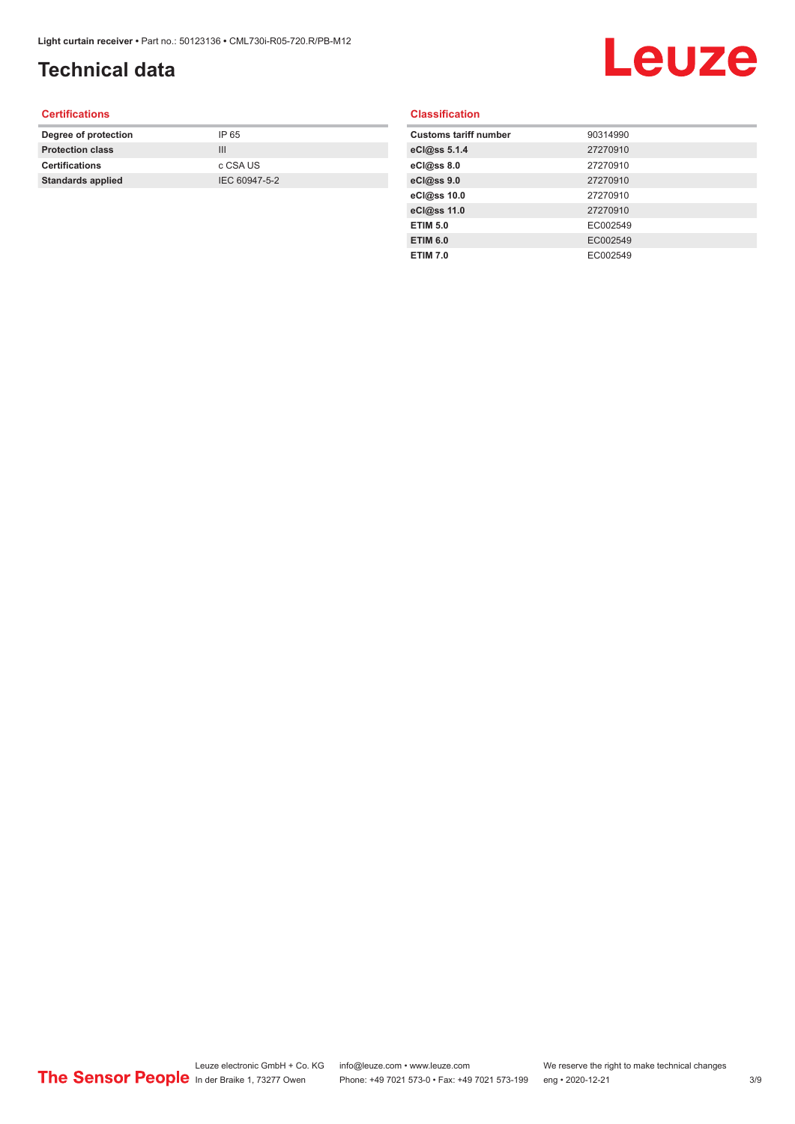## **Technical data**

## Leuze

#### **Certifications**

| Degree of protection     | IP 65         |
|--------------------------|---------------|
| <b>Protection class</b>  | Ш             |
| <b>Certifications</b>    | c CSA US      |
| <b>Standards applied</b> | IEC 60947-5-2 |
|                          |               |

#### **Classification**

| <b>Customs tariff number</b> | 90314990 |
|------------------------------|----------|
| eCl@ss 5.1.4                 | 27270910 |
| eCl@ss 8.0                   | 27270910 |
| eCl@ss 9.0                   | 27270910 |
| eCl@ss 10.0                  | 27270910 |
| eCl@ss 11.0                  | 27270910 |
| <b>ETIM 5.0</b>              | EC002549 |
| <b>ETIM 6.0</b>              | EC002549 |
| <b>ETIM 7.0</b>              | EC002549 |
|                              |          |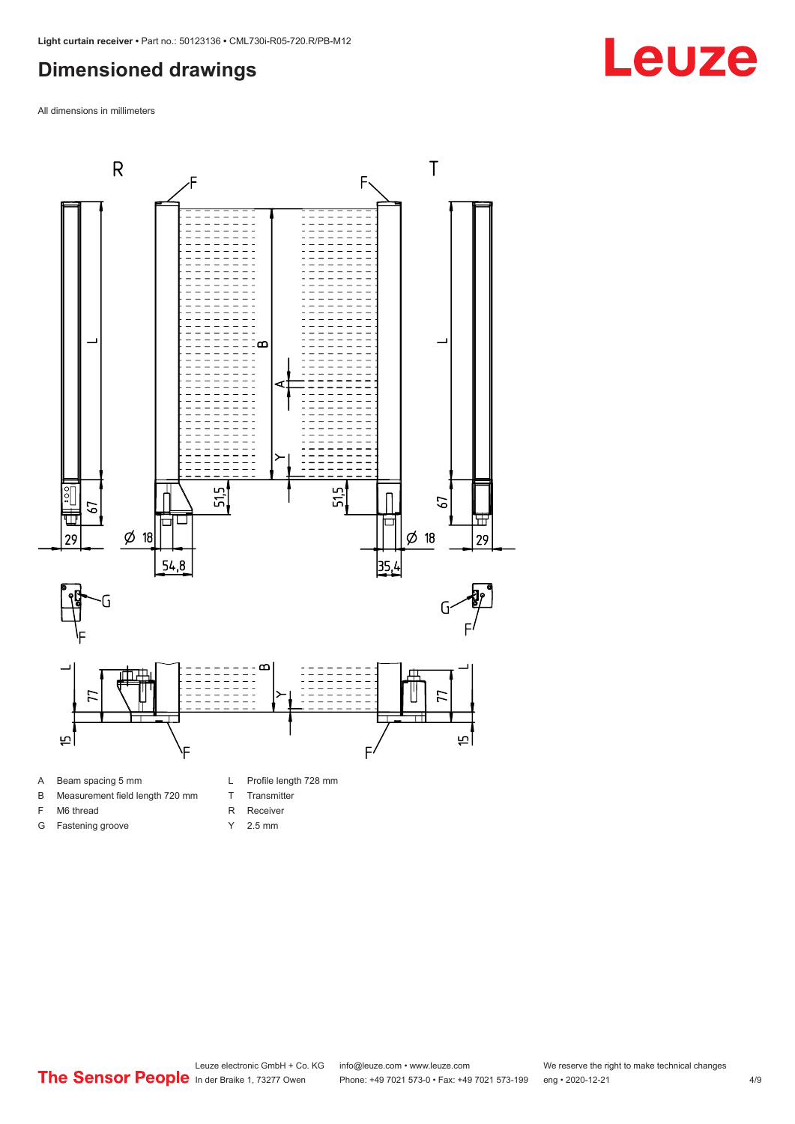#### <span id="page-3-0"></span>**Dimensioned drawings**

All dimensions in millimeters



#### B Measurement field length 720 mm

- F M6 thread
- G Fastening groove
- T Transmitter
- R Receiver
- Y 2.5 mm

Leuze electronic GmbH + Co. KG info@leuze.com • www.leuze.com We reserve the right to make technical changes<br>
The Sensor People in der Braike 1, 73277 Owen Phone: +49 7021 573-0 • Fax: +49 7021 573-199 eng • 2020-12-21 Phone: +49 7021 573-0 • Fax: +49 7021 573-199 eng • 2020-12-21 4/9

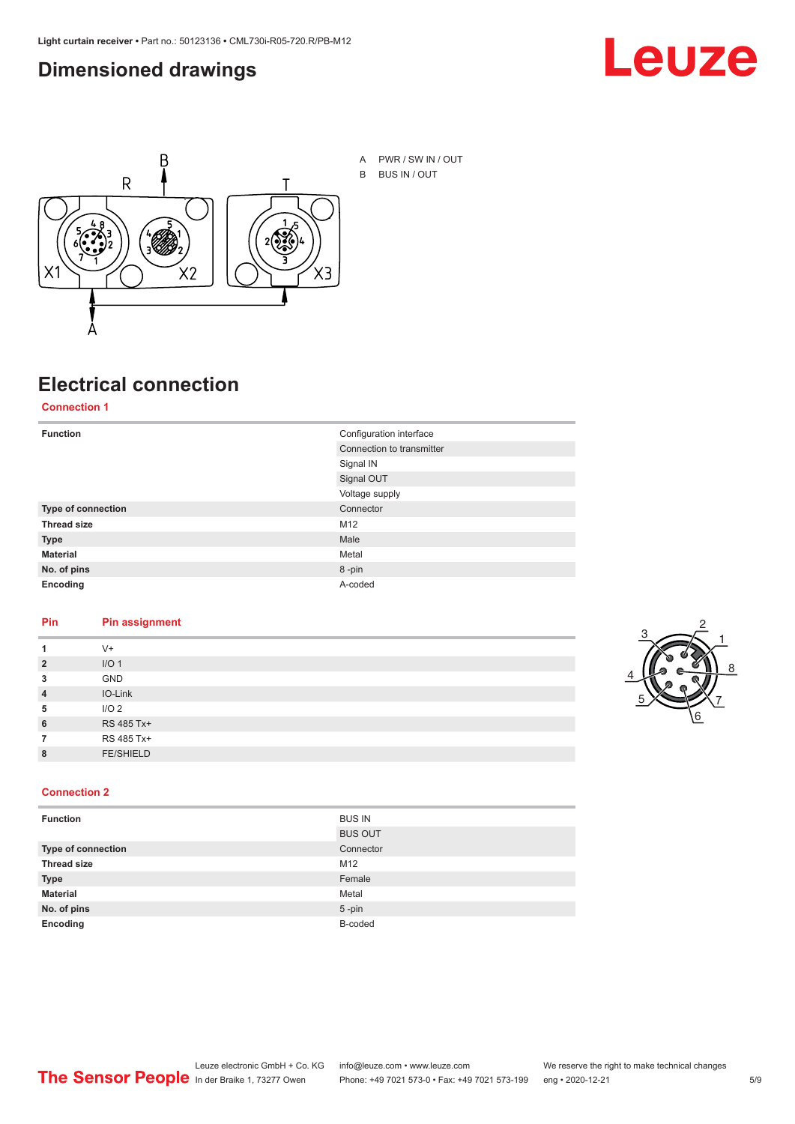#### <span id="page-4-0"></span>**Dimensioned drawings**





## **Electrical connection**

**Connection 1**

| <b>Function</b>    | Configuration interface   |  |
|--------------------|---------------------------|--|
|                    | Connection to transmitter |  |
|                    | Signal IN                 |  |
|                    | Signal OUT                |  |
|                    | Voltage supply            |  |
| Type of connection | Connector                 |  |
| <b>Thread size</b> | M12                       |  |
| <b>Type</b>        | Male                      |  |
| <b>Material</b>    | Metal                     |  |
| No. of pins        | 8-pin                     |  |
| Encoding           | A-coded                   |  |

#### **Pin Pin assignment**

| 1              | $V +$            |  |  |
|----------------|------------------|--|--|
| $\overline{2}$ | I/O <sub>1</sub> |  |  |
| 3              | <b>GND</b>       |  |  |
| $\overline{4}$ | IO-Link          |  |  |
| 5              | I/O <sub>2</sub> |  |  |
| 6              | RS 485 Tx+       |  |  |
| 7              | RS 485 Tx+       |  |  |
| 8              | <b>FE/SHIELD</b> |  |  |
|                |                  |  |  |



#### **Connection 2**

| <b>Function</b>    | <b>BUS IN</b>  |
|--------------------|----------------|
|                    | <b>BUS OUT</b> |
| Type of connection | Connector      |
| <b>Thread size</b> | M12            |
| <b>Type</b>        | Female         |
| <b>Material</b>    | Metal          |
| No. of pins        | $5 - pin$      |
| Encoding           | B-coded        |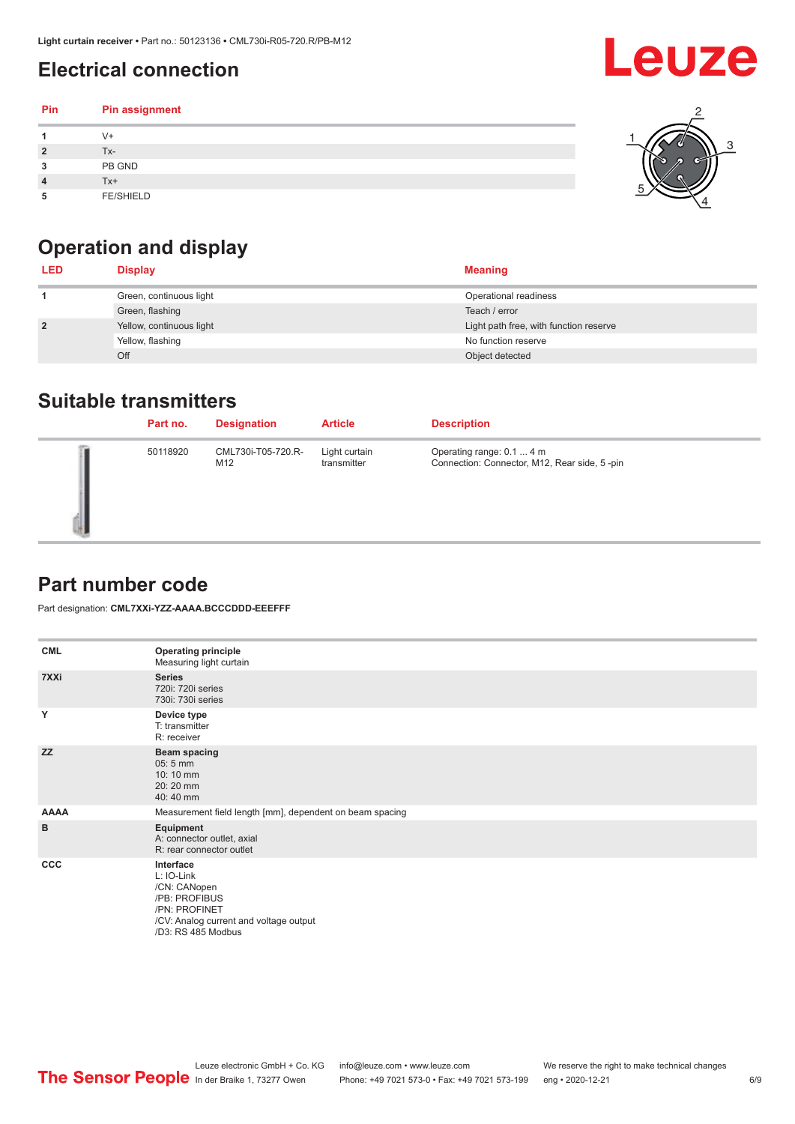## <span id="page-5-0"></span>**Electrical connection**

#### **Pin Pin assignment 1** V+ **2** Tx-**3** PB GND **4** Tx+ **5** FE/SHIELD 3 2 1 5 4

## **Operation and display**

| <b>LED</b>     | <b>Display</b>           | <b>Meaning</b>                         |
|----------------|--------------------------|----------------------------------------|
|                | Green, continuous light  | Operational readiness                  |
|                | Green, flashing          | Teach / error                          |
| $\overline{2}$ | Yellow, continuous light | Light path free, with function reserve |
|                | Yellow, flashing         | No function reserve                    |
|                | Off                      | Object detected                        |

#### **Suitable transmitters**

| Part no. | <b>Designation</b>        | <b>Article</b>               | <b>Description</b>                                                        |
|----------|---------------------------|------------------------------|---------------------------------------------------------------------------|
| 50118920 | CML730i-T05-720.R-<br>M12 | Light curtain<br>transmitter | Operating range: 0.1  4 m<br>Connection: Connector, M12, Rear side, 5-pin |

### **Part number code**

Part designation: **CML7XXi-YZZ-AAAA.BCCCDDD-EEEFFF**

| <b>CML</b>  | <b>Operating principle</b><br>Measuring light curtain                                                                                     |
|-------------|-------------------------------------------------------------------------------------------------------------------------------------------|
| 7XXi        | <b>Series</b><br>720i: 720i series<br>730i: 730i series                                                                                   |
| Y           | Device type<br>T: transmitter<br>R: receiver                                                                                              |
| <b>ZZ</b>   | <b>Beam spacing</b><br>05:5 mm<br>10:10 mm<br>20:20 mm<br>40:40 mm                                                                        |
| <b>AAAA</b> | Measurement field length [mm], dependent on beam spacing                                                                                  |
| в           | Equipment<br>A: connector outlet, axial<br>R: rear connector outlet                                                                       |
| <b>CCC</b>  | Interface<br>L: IO-Link<br>/CN: CANopen<br>/PB: PROFIBUS<br>/PN: PROFINET<br>/CV: Analog current and voltage output<br>/D3: RS 485 Modbus |

Leuze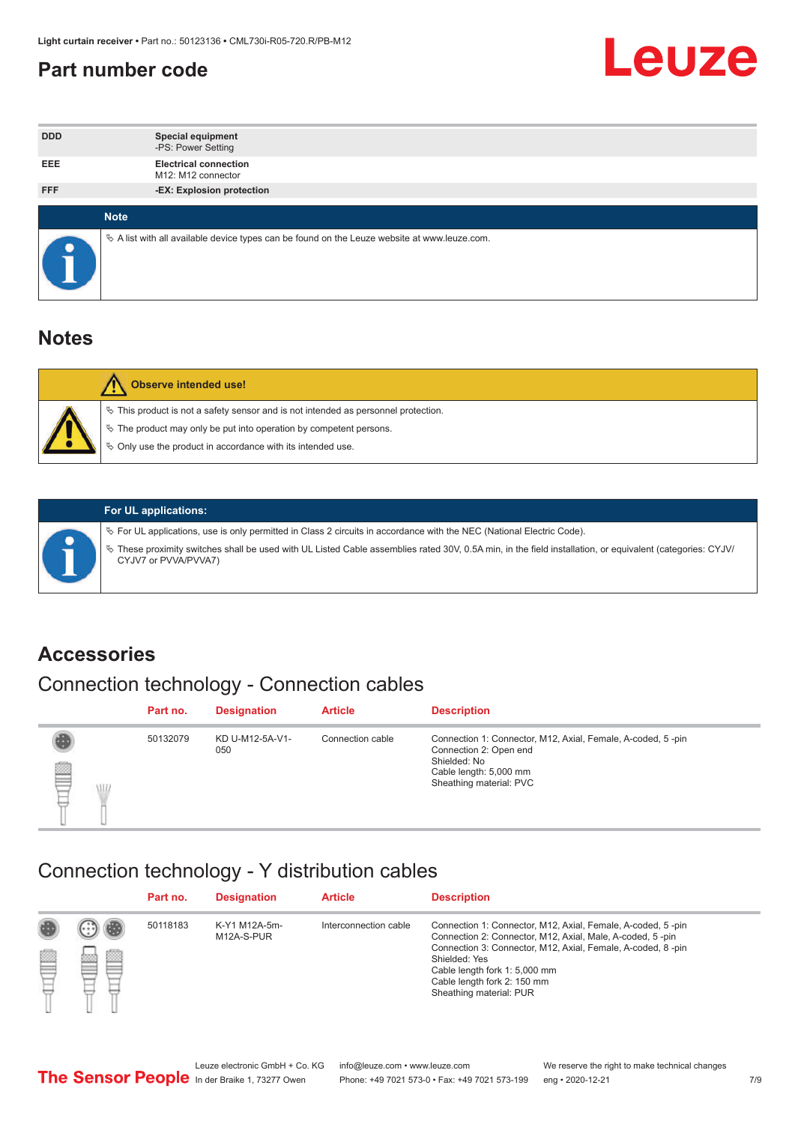#### <span id="page-6-0"></span>**Part number code**



| <b>DDD</b>  | <b>Special equipment</b><br>-PS: Power Setting                                                  |
|-------------|-------------------------------------------------------------------------------------------------|
| <b>EEE</b>  | <b>Electrical connection</b><br>M12: M12 connector                                              |
| <b>FFF</b>  | -EX: Explosion protection                                                                       |
|             |                                                                                                 |
| <b>Note</b> |                                                                                                 |
|             | $\&$ A list with all available device types can be found on the Leuze website at www.leuze.com. |

#### **Notes**

| Observe intended use!                                                                                                                                                                                                            |
|----------------------------------------------------------------------------------------------------------------------------------------------------------------------------------------------------------------------------------|
| $\%$ This product is not a safety sensor and is not intended as personnel protection.<br>$\%$ The product may only be put into operation by competent persons.<br>$\%$ Only use the product in accordance with its intended use. |
|                                                                                                                                                                                                                                  |



#### **For UL applications:**

ª For UL applications, use is only permitted in Class 2 circuits in accordance with the NEC (National Electric Code). ª These proximity switches shall be used with UL Listed Cable assemblies rated 30V, 0.5A min, in the field installation, or equivalent (categories: CYJV/ CYJV7 or PVVA/PVVA7)

#### **Accessories**

### Connection technology - Connection cables

|        | Part no. | <b>Designation</b>     | <b>Article</b>   | <b>Description</b>                                                                                                                                         |
|--------|----------|------------------------|------------------|------------------------------------------------------------------------------------------------------------------------------------------------------------|
| 2<br>W | 50132079 | KD U-M12-5A-V1-<br>050 | Connection cable | Connection 1: Connector, M12, Axial, Female, A-coded, 5-pin<br>Connection 2: Open end<br>Shielded: No<br>Cable length: 5,000 mm<br>Sheathing material: PVC |

#### Connection technology - Y distribution cables

|             |   | Part no. | <b>Designation</b>          | <b>Article</b>        | <b>Description</b>                                                                                                                                                                                                                                                                                  |
|-------------|---|----------|-----------------------------|-----------------------|-----------------------------------------------------------------------------------------------------------------------------------------------------------------------------------------------------------------------------------------------------------------------------------------------------|
| 圔<br>⋿<br>٣ | ø | 50118183 | K-Y1 M12A-5m-<br>M12A-S-PUR | Interconnection cable | Connection 1: Connector, M12, Axial, Female, A-coded, 5-pin<br>Connection 2: Connector, M12, Axial, Male, A-coded, 5-pin<br>Connection 3: Connector, M12, Axial, Female, A-coded, 8-pin<br>Shielded: Yes<br>Cable length fork 1: 5,000 mm<br>Cable length fork 2: 150 mm<br>Sheathing material: PUR |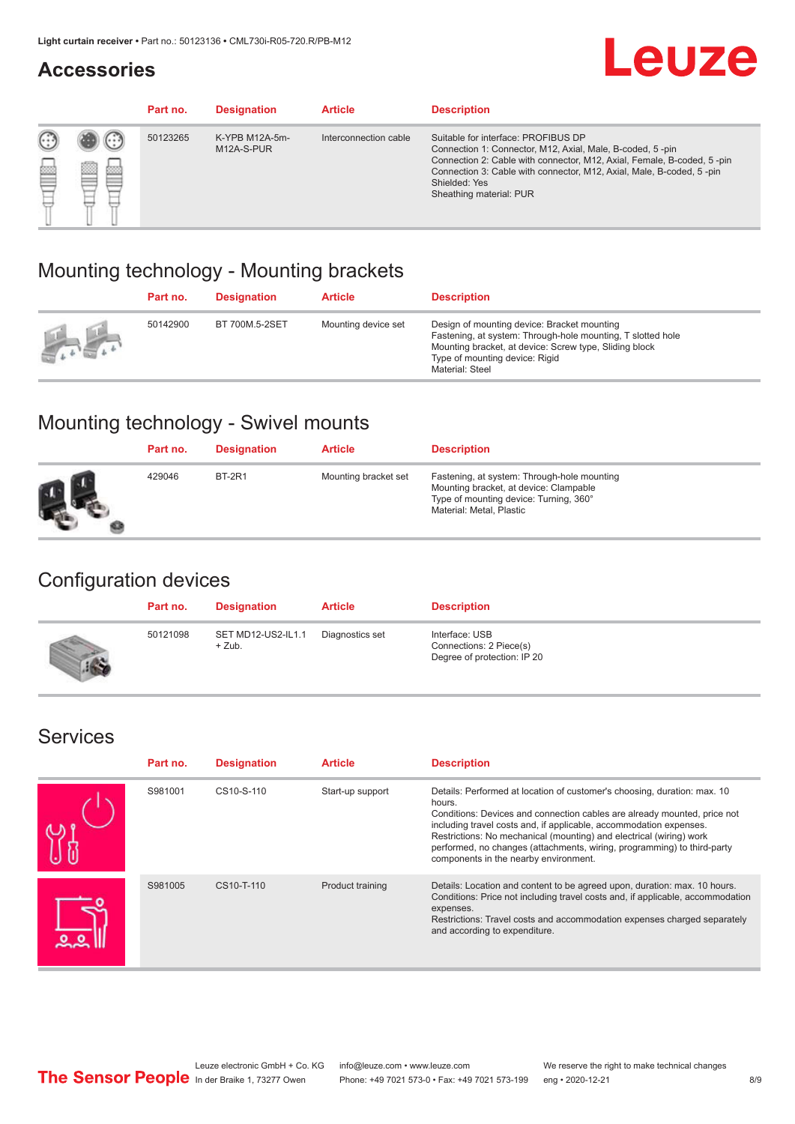#### **Accessories**

## **Leuze**

|   |        | Part no. | <b>Designation</b>           | <b>Article</b>        | <b>Description</b>                                                                                                                                                                                                                                                                             |
|---|--------|----------|------------------------------|-----------------------|------------------------------------------------------------------------------------------------------------------------------------------------------------------------------------------------------------------------------------------------------------------------------------------------|
| 您 | ×<br>一 | 50123265 | K-YPB M12A-5m-<br>M12A-S-PUR | Interconnection cable | Suitable for interface: PROFIBUS DP<br>Connection 1: Connector, M12, Axial, Male, B-coded, 5-pin<br>Connection 2: Cable with connector, M12, Axial, Female, B-coded, 5-pin<br>Connection 3: Cable with connector, M12, Axial, Male, B-coded, 5-pin<br>Shielded: Yes<br>Sheathing material: PUR |

### Mounting technology - Mounting brackets

|                                               | Part no. | <b>Designation</b> | <b>Article</b>      | <b>Description</b>                                                                                                                                                                                                        |
|-----------------------------------------------|----------|--------------------|---------------------|---------------------------------------------------------------------------------------------------------------------------------------------------------------------------------------------------------------------------|
| $\frac{1}{2}$ , $\frac{1}{2}$ , $\frac{1}{2}$ | 50142900 | BT 700M.5-2SET     | Mounting device set | Design of mounting device: Bracket mounting<br>Fastening, at system: Through-hole mounting, T slotted hole<br>Mounting bracket, at device: Screw type, Sliding block<br>Type of mounting device: Rigid<br>Material: Steel |

### Mounting technology - Swivel mounts

| Part no. | <b>Designation</b> | <b>Article</b>       | <b>Description</b>                                                                                                                                          |
|----------|--------------------|----------------------|-------------------------------------------------------------------------------------------------------------------------------------------------------------|
| 429046   | <b>BT-2R1</b>      | Mounting bracket set | Fastening, at system: Through-hole mounting<br>Mounting bracket, at device: Clampable<br>Type of mounting device: Turning, 360°<br>Material: Metal, Plastic |

### Configuration devices

| Part no. | <b>Designation</b>             | <b>Article</b>  | <b>Description</b>                                                       |
|----------|--------------------------------|-----------------|--------------------------------------------------------------------------|
| 50121098 | SET MD12-US2-IL1.1<br>$+$ Zub. | Diagnostics set | Interface: USB<br>Connections: 2 Piece(s)<br>Degree of protection: IP 20 |

#### Services

| Part no. | <b>Designation</b> | <b>Article</b>   | <b>Description</b>                                                                                                                                                                                                                                                                                                                                                                                                              |
|----------|--------------------|------------------|---------------------------------------------------------------------------------------------------------------------------------------------------------------------------------------------------------------------------------------------------------------------------------------------------------------------------------------------------------------------------------------------------------------------------------|
| S981001  | CS10-S-110         | Start-up support | Details: Performed at location of customer's choosing, duration: max. 10<br>hours.<br>Conditions: Devices and connection cables are already mounted, price not<br>including travel costs and, if applicable, accommodation expenses.<br>Restrictions: No mechanical (mounting) and electrical (wiring) work<br>performed, no changes (attachments, wiring, programming) to third-party<br>components in the nearby environment. |
| S981005  | CS10-T-110         | Product training | Details: Location and content to be agreed upon, duration: max. 10 hours.<br>Conditions: Price not including travel costs and, if applicable, accommodation<br>expenses.<br>Restrictions: Travel costs and accommodation expenses charged separately<br>and according to expenditure.                                                                                                                                           |